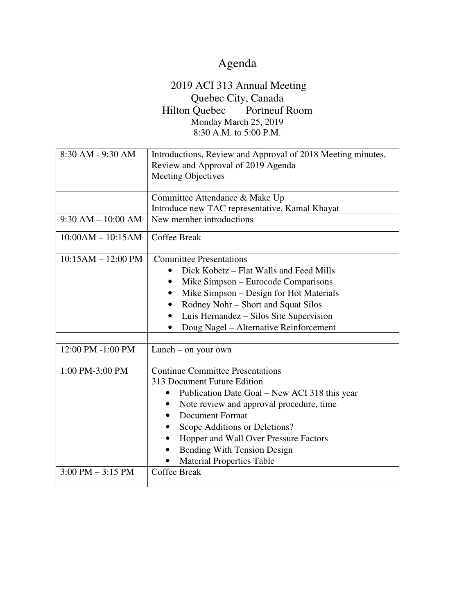## Agenda

## 2019 ACI 313 Annual Meeting Quebec City, Canada<br>Quebec Portneuf Room Hilton Quebec Monday March 25, 2019 8:30 A.M. to 5:00 P.M.

| 8:30 AM - 9:30 AM                   | Introductions, Review and Approval of 2018 Meeting minutes,        |
|-------------------------------------|--------------------------------------------------------------------|
|                                     | Review and Approval of 2019 Agenda                                 |
|                                     | <b>Meeting Objectives</b>                                          |
|                                     |                                                                    |
|                                     | Committee Attendance & Make Up                                     |
|                                     | Introduce new TAC representative, Kamal Khayat                     |
| $9:30 AM - 10:00 AM$                | New member introductions                                           |
| $10:00AM - 10:15AM$                 | <b>Coffee Break</b>                                                |
| $10:15AM - 12:00 PM$                | <b>Committee Presentations</b>                                     |
|                                     | Dick Kobetz – Flat Walls and Feed Mills                            |
|                                     | Mike Simpson – Eurocode Comparisons                                |
|                                     | Mike Simpson – Design for Hot Materials                            |
|                                     | Rodney Nohr - Short and Squat Silos                                |
|                                     | Luis Hernandez – Silos Site Supervision                            |
|                                     | Doug Nagel - Alternative Reinforcement                             |
|                                     |                                                                    |
| 12:00 PM -1:00 PM                   | $Lunch - on your own$                                              |
| 1:00 PM-3:00 PM                     | <b>Continue Committee Presentations</b>                            |
|                                     | 313 Document Future Edition                                        |
|                                     |                                                                    |
|                                     | Publication Date Goal – New ACI 318 this year                      |
|                                     | Note review and approval procedure, time<br><b>Document Format</b> |
|                                     |                                                                    |
|                                     | Scope Additions or Deletions?                                      |
|                                     | Hopper and Wall Over Pressure Factors                              |
|                                     | <b>Bending With Tension Design</b>                                 |
|                                     | <b>Material Properties Table</b>                                   |
| $3:00 \text{ PM} - 3:15 \text{ PM}$ | <b>Coffee Break</b>                                                |
|                                     |                                                                    |